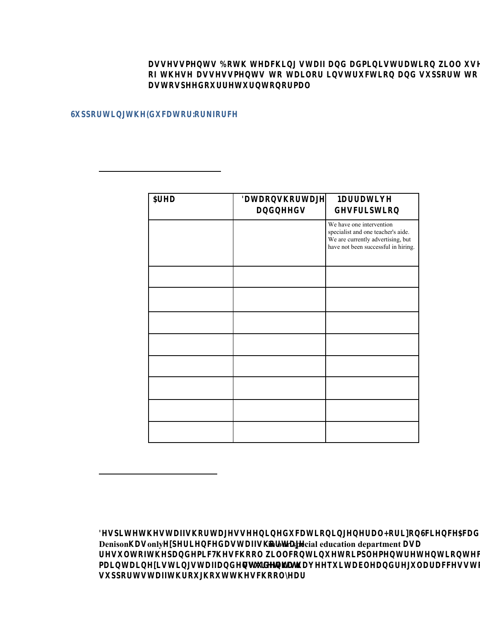UggYggaYbhg" 6ch\ hYUW\ ] b [ ghUZZ UbX UXa ] b C Z h \ Y g Y U g g Y g g a Y b h g h c h U ] ` c f ] b g h f i Wh ] c b Ug hc gdYYX cif fYhifb hc bcfaU`"

# F. Giddcfh]b[ h\Y 9Xi WUhcf Kcf\_Zcf WY

In this section, the School will describe strategies for supporting and stabilizing the educator workforce and for making staffing decisions that will support students' academic, social, emotional, and mental health needs.

- 1. Stabilizing the Educator Workforce:
	- i. Describe the extent to personnel involved in safely reopening school.

| 5fYU                                                                           | 8 U h U c b g \<br>UbX bYYX               | $B U f f U h$ ] $Y$<br>X Y g Wf ] d h ] c                                                                                                  |
|--------------------------------------------------------------------------------|-------------------------------------------|--------------------------------------------------------------------------------------------------------------------------------------------|
| Special educators<br>and related service<br>personnel and<br>paraprofessionals | Shortage Experienced at<br>This School    | We have one intervention<br>specialist and one teacher's aide.<br>We are currently advertising, but<br>have not been successful in hiring. |
| Bilingual educators                                                            | No Shortage Experienced<br>at This School | N/A                                                                                                                                        |
| English as a second<br>language educators                                      | No Shortage Experienced<br>at This School | N/A                                                                                                                                        |
| <b>STEM</b> educators                                                          | No Shortage Experienced<br>at This School | N/A                                                                                                                                        |
| Early childhood<br>educators                                                   | No Shortage Experienced<br>at This School | N/A                                                                                                                                        |
| School counselors                                                              | No Shortage Experienced<br>at This School | N/A                                                                                                                                        |
| Social workers                                                                 | No Shortage Experienced<br>at This School | N/A                                                                                                                                        |
| <b>Nurses</b>                                                                  | No Shortage Experienced<br>at This School | N/A                                                                                                                                        |
| School psychologists                                                           | No Shortage Experienced<br>at This School | N/A                                                                                                                                        |

2. Staffing to Support Student Needs: Describe the extent to which the School has developed or will develop strategies and will support in increasing student access to key support staff within school buildings, including school counselors, special education personnel, nurses, social workers, and psychologists (e.g. hiring additional personnel or freeing up these staff to focus on providing services to students).

BYgd]hY`h\Y`ghUZZ`g\cfhU[Yg`gYYb`]b`YXiWUh]cl **Denison** \Ug only YI d Y f ] Y b \MnYo \trin splocial geducation department b g [ \MinYone find a special education of a special education of a special equation of a special equation of a special equation of a special equ fYgi`hˈcΖˈh\YˈdUbХYa]W" ˈH\YˈgW\cc`k]`` 'Wcbh] a U ] b h U ] b ˙ Y l ] g h ] b [g hgihXUYZhZ dJ b \U jY Yb g Yi efiY] hhU\W`hY ˙ U b X ˙ giddcfh ghUZZ h\fči[\cih h\Y gW\cc` mYUf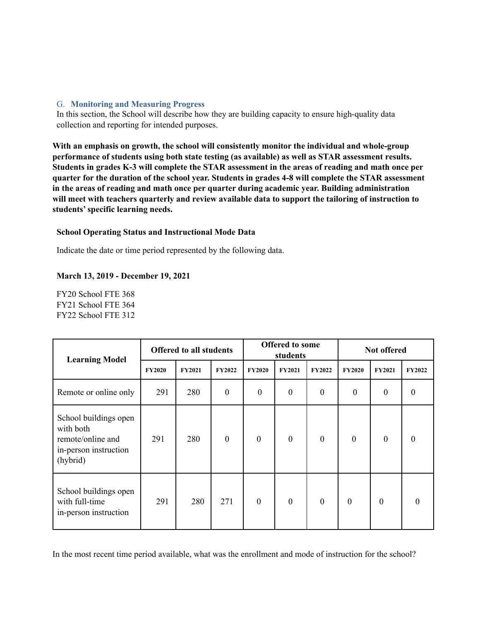#### G. **Monitoring and Measuring Progress**

In this section, the School will describe how they are building capacity to ensure high-quality data collection and reporting for intended purposes.

**With an emphasis on growth, the school will consistently monitor the individual and whole-group performance of students using both state testing (as available) as well as STAR assessment results. Students in grades K-3 will complete the STAR assessment in the areas of reading and math once per quarter for the duration of the school year. Students in grades 4-8 will complete the STAR assessment in the areas of reading and math once per quarter during academic year. Building administration will meet with teachers quarterly and review available data to support the tailoring of instruction to students' specific learning needs.**

## **School Operating Status and Instructional Mode Data**

Indicate the date or time period represented by the following data.

## **March 13, 2019 - December 19, 2021**

FY20 School FTE 368 FY21 School FTE 364 FY22 School FTE 312

| <b>Learning Model</b>                                                                        | <b>Offered to all students</b> |               | <b>Offered to some</b><br>students |                  | Not offered      |               |               |                  |               |
|----------------------------------------------------------------------------------------------|--------------------------------|---------------|------------------------------------|------------------|------------------|---------------|---------------|------------------|---------------|
|                                                                                              | <b>FY2020</b>                  | <b>FY2021</b> | <b>FY2022</b>                      | <b>FY2020</b>    | <b>FY2021</b>    | <b>FY2022</b> | <b>FY2020</b> | <b>FY2021</b>    | <b>FY2022</b> |
| Remote or online only                                                                        | 291                            | 280           | $\boldsymbol{0}$                   | $\boldsymbol{0}$ | $\boldsymbol{0}$ | $\mathbf{0}$  | $\mathbf{0}$  | $\mathbf{0}$     | $\theta$      |
| School buildings open<br>with both<br>remote/online and<br>in-person instruction<br>(hybrid) | 291                            | 280           | $\boldsymbol{0}$                   | $\boldsymbol{0}$ | $\boldsymbol{0}$ | $\mathbf{0}$  | $\mathbf{0}$  | $\boldsymbol{0}$ | $\theta$      |
| School buildings open<br>with full-time<br>in-person instruction                             | 291                            | 280           | 271                                | $\mathbf{0}$     | $\mathbf{0}$     | $\theta$      | $\mathbf{0}$  | $\theta$         | $\theta$      |

In the most recent time period available, what was the enrollment and mode of instruction for the school?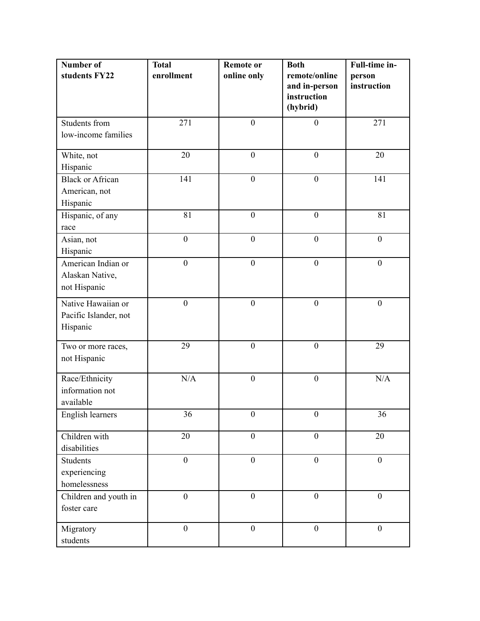| Number of               | <b>Total</b>     | <b>Remote or</b> | <b>Both</b>                  | Full-time in-    |
|-------------------------|------------------|------------------|------------------------------|------------------|
| students FY22           | enrollment       | online only      | remote/online                | person           |
|                         |                  |                  | and in-person<br>instruction | instruction      |
|                         |                  |                  | (hybrid)                     |                  |
| Students from           | 271              | $\overline{0}$   | $\boldsymbol{0}$             | 271              |
| low-income families     |                  |                  |                              |                  |
| White, not              | 20               | $\mathbf{0}$     | $\mathbf{0}$                 | 20               |
| Hispanic                |                  |                  |                              |                  |
| <b>Black or African</b> | 141              | $\overline{0}$   | $\boldsymbol{0}$             | 141              |
| American, not           |                  |                  |                              |                  |
| Hispanic                |                  |                  |                              |                  |
| Hispanic, of any        | 81               | $\boldsymbol{0}$ | $\boldsymbol{0}$             | 81               |
| race                    |                  |                  |                              |                  |
| Asian, not              | $\boldsymbol{0}$ | $\boldsymbol{0}$ | $\boldsymbol{0}$             | $\boldsymbol{0}$ |
| Hispanic                |                  |                  |                              |                  |
| American Indian or      | $\mathbf{0}$     | $\mathbf{0}$     | $\boldsymbol{0}$             | $\boldsymbol{0}$ |
| Alaskan Native,         |                  |                  |                              |                  |
| not Hispanic            |                  |                  |                              |                  |
| Native Hawaiian or      | $\mathbf{0}$     | $\mathbf{0}$     | $\mathbf{0}$                 | $\mathbf{0}$     |
| Pacific Islander, not   |                  |                  |                              |                  |
| Hispanic                |                  |                  |                              |                  |
|                         |                  |                  |                              |                  |
| Two or more races,      | 29               | $\boldsymbol{0}$ | $\boldsymbol{0}$             | 29               |
| not Hispanic            |                  |                  |                              |                  |
| Race/Ethnicity          | N/A              | $\mathbf{0}$     | $\mathbf{0}$                 | N/A              |
| information not         |                  |                  |                              |                  |
| available               |                  |                  |                              |                  |
| English learners        | 36               | $\boldsymbol{0}$ | $\boldsymbol{0}$             | 36               |
|                         |                  |                  |                              |                  |
| Children with           | 20               | $\boldsymbol{0}$ | $\boldsymbol{0}$             | 20               |
| disabilities            |                  |                  |                              |                  |
| <b>Students</b>         | $\boldsymbol{0}$ | $\boldsymbol{0}$ | $\boldsymbol{0}$             | $\boldsymbol{0}$ |
| experiencing            |                  |                  |                              |                  |
| homelessness            |                  |                  |                              |                  |
| Children and youth in   | $\mathbf{0}$     | $\mathbf{0}$     | $\mathbf{0}$                 | $\boldsymbol{0}$ |
| foster care             |                  |                  |                              |                  |
|                         | $\boldsymbol{0}$ | $\boldsymbol{0}$ | $\overline{0}$               | $\boldsymbol{0}$ |
| Migratory               |                  |                  |                              |                  |
| students                |                  |                  |                              |                  |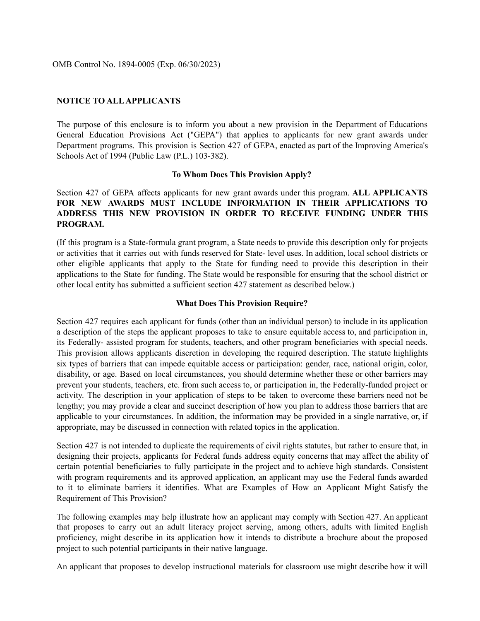OMB Control No. 1894-0005 (Exp. 06/30/2023)

## **NOTICE TO ALL APPLICANTS**

The purpose of this enclosure is to inform you about a new provision in the Department of Educations General Education Provisions Act ("GEPA") that applies to applicants for new grant awards under Department programs. This provision is Section 427 of GEPA, enacted as part of the Improving America's Schools Act of 1994 (Public Law (P.L.) 103-382).

#### **To Whom Does This Provision Apply?**

Section 427 of GEPA affects applicants for new grant awards under this program. **ALL APPLICANTS FOR NEW AWARDS MUST INCLUDE INFORMATION IN THEIR APPLICATIONS TO ADDRESS THIS NEW PROVISION IN ORDER TO RECEIVE FUNDING UNDER THIS PROGRAM.**

(If this program is a State-formula grant program, a State needs to provide this description only for projects or activities that it carries out with funds reserved for State- level uses. In addition, local school districts or other eligible applicants that apply to the State for funding need to provide this description in their applications to the State for funding. The State would be responsible for ensuring that the school district or other local entity has submitted a sufficient section 427 statement as described below.)

#### **What Does This Provision Require?**

Section 427 requires each applicant for funds (other than an individual person) to include in its application a description of the steps the applicant proposes to take to ensure equitable access to, and participation in, its Federally- assisted program for students, teachers, and other program beneficiaries with special needs. This provision allows applicants discretion in developing the required description. The statute highlights six types of barriers that can impede equitable access or participation: gender, race, national origin, color, disability, or age. Based on local circumstances, you should determine whether these or other barriers may prevent your students, teachers, etc. from such access to, or participation in, the Federally-funded project or activity. The description in your application of steps to be taken to overcome these barriers need not be lengthy; you may provide a clear and succinct description of how you plan to address those barriers that are applicable to your circumstances. In addition, the information may be provided in a single narrative, or, if appropriate, may be discussed in connection with related topics in the application.

Section 427 is not intended to duplicate the requirements of civil rights statutes, but rather to ensure that, in designing their projects, applicants for Federal funds address equity concerns that may affect the ability of certain potential beneficiaries to fully participate in the project and to achieve high standards. Consistent with program requirements and its approved application, an applicant may use the Federal funds awarded to it to eliminate barriers it identifies. What are Examples of How an Applicant Might Satisfy the Requirement of This Provision?

The following examples may help illustrate how an applicant may comply with Section 427. An applicant that proposes to carry out an adult literacy project serving, among others, adults with limited English proficiency, might describe in its application how it intends to distribute a brochure about the proposed project to such potential participants in their native language.

An applicant that proposes to develop instructional materials for classroom use might describe how it will